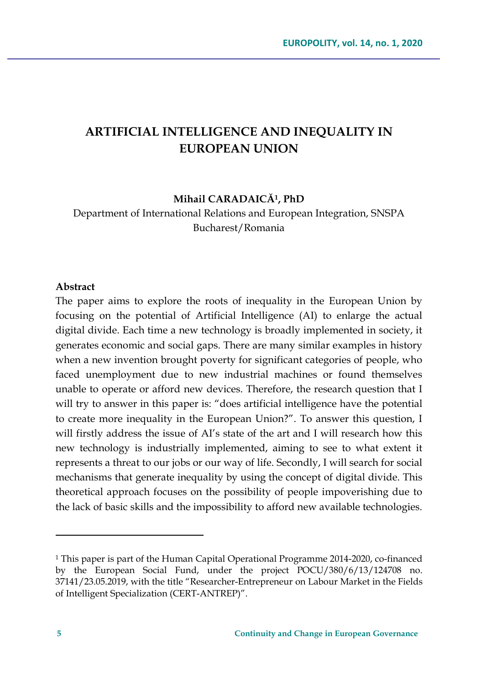# **ARTIFICIAL INTELLIGENCE AND INEQUALITY IN EUROPEAN UNION**

#### **Mihail CARADAICĂ1, PhD**

Department of International Relations and European Integration, SNSPA Bucharest/Romania

#### **Abstract**

The paper aims to explore the roots of inequality in the European Union by focusing on the potential of Artificial Intelligence (AI) to enlarge the actual digital divide. Each time a new technology is broadly implemented in society, it generates economic and social gaps. There are many similar examples in history when a new invention brought poverty for significant categories of people, who faced unemployment due to new industrial machines or found themselves unable to operate or afford new devices. Therefore, the research question that I will try to answer in this paper is: "does artificial intelligence have the potential to create more inequality in the European Union?". To answer this question, I will firstly address the issue of AI's state of the art and I will research how this new technology is industrially implemented, aiming to see to what extent it represents a threat to our jobs or our way of life. Secondly, I will search for social mechanisms that generate inequality by using the concept of digital divide. This theoretical approach focuses on the possibility of people impoverishing due to the lack of basic skills and the impossibility to afford new available technologies.

<sup>1</sup> This paper is part of the Human Capital Operational Programme 2014-2020, co-financed by the European Social Fund, under the project POCU/380/6/13/124708 no. 37141/23.05.2019, with the title "Researcher-Entrepreneur on Labour Market in the Fields of Intelligent Specialization (CERT-ANTREP)".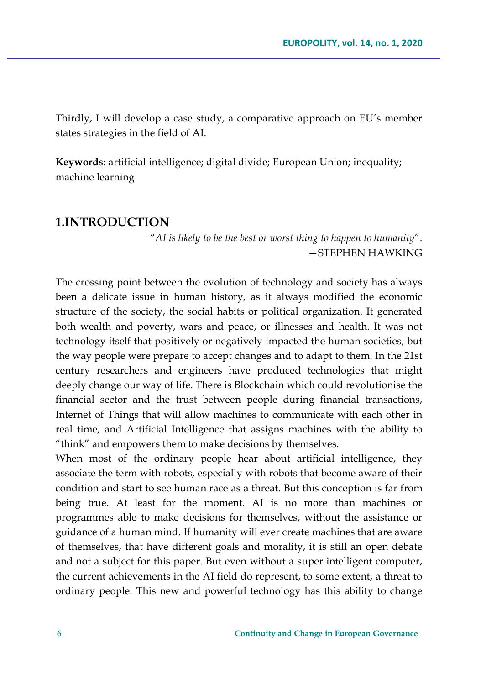Thirdly, I will develop a case study, a comparative approach on EU's member states strategies in the field of AI.

**Keywords**: artificial intelligence; digital divide; European Union; inequality; machine learning

### **1.INTRODUCTION**

"*AI is likely to be the best or worst thing to happen to humanity*". —STEPHEN HAWKING

The crossing point between the evolution of technology and society has always been a delicate issue in human history, as it always modified the economic structure of the society, the social habits or political organization. It generated both wealth and poverty, wars and peace, or illnesses and health. It was not technology itself that positively or negatively impacted the human societies, but the way people were prepare to accept changes and to adapt to them. In the 21st century researchers and engineers have produced technologies that might deeply change our way of life. There is Blockchain which could revolutionise the financial sector and the trust between people during financial transactions, Internet of Things that will allow machines to communicate with each other in real time, and Artificial Intelligence that assigns machines with the ability to "think" and empowers them to make decisions by themselves.

When most of the ordinary people hear about artificial intelligence, they associate the term with robots, especially with robots that become aware of their condition and start to see human race as a threat. But this conception is far from being true. At least for the moment. AI is no more than machines or programmes able to make decisions for themselves, without the assistance or guidance of a human mind. If humanity will ever create machines that are aware of themselves, that have different goals and morality, it is still an open debate and not a subject for this paper. But even without a super intelligent computer, the current achievements in the AI field do represent, to some extent, a threat to ordinary people. This new and powerful technology has this ability to change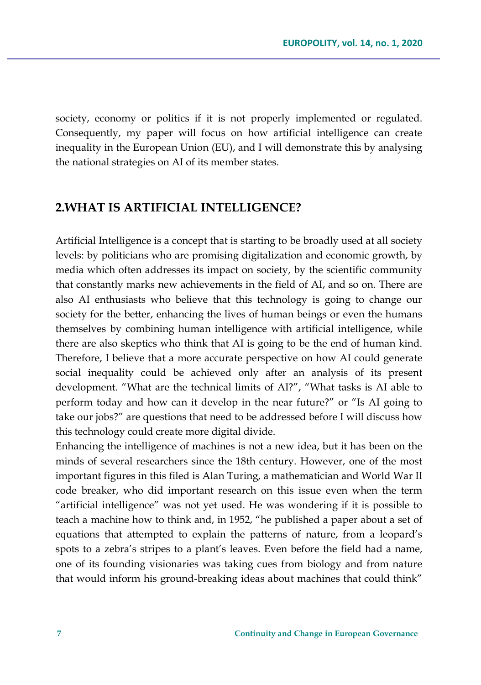society, economy or politics if it is not properly implemented or regulated. Consequently, my paper will focus on how artificial intelligence can create inequality in the European Union (EU), and I will demonstrate this by analysing the national strategies on AI of its member states.

## **2.WHAT IS ARTIFICIAL INTELLIGENCE?**

Artificial Intelligence is a concept that is starting to be broadly used at all society levels: by politicians who are promising digitalization and economic growth, by media which often addresses its impact on society, by the scientific community that constantly marks new achievements in the field of AI, and so on. There are also AI enthusiasts who believe that this technology is going to change our society for the better, enhancing the lives of human beings or even the humans themselves by combining human intelligence with artificial intelligence, while there are also skeptics who think that AI is going to be the end of human kind. Therefore, I believe that a more accurate perspective on how AI could generate social inequality could be achieved only after an analysis of its present development. "What are the technical limits of AI?", "What tasks is AI able to perform today and how can it develop in the near future?" or "Is AI going to take our jobs?" are questions that need to be addressed before I will discuss how this technology could create more digital divide.

Enhancing the intelligence of machines is not a new idea, but it has been on the minds of several researchers since the 18th century. However, one of the most important figures in this filed is Alan Turing, a mathematician and World War II code breaker, who did important research on this issue even when the term "artificial intelligence" was not yet used. He was wondering if it is possible to teach a machine how to think and, in 1952, "he published a paper about a set of equations that attempted to explain the patterns of nature, from a leopard's spots to a zebra's stripes to a plant's leaves. Even before the field had a name, one of its founding visionaries was taking cues from biology and from nature that would inform his ground-breaking ideas about machines that could think"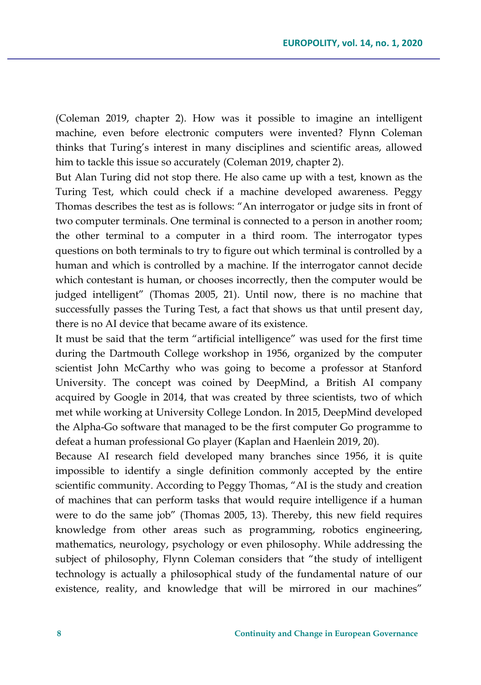(Coleman 2019, chapter 2). How was it possible to imagine an intelligent machine, even before electronic computers were invented? Flynn Coleman thinks that Turing's interest in many disciplines and scientific areas, allowed him to tackle this issue so accurately (Coleman 2019, chapter 2).

But Alan Turing did not stop there. He also came up with a test, known as the Turing Test, which could check if a machine developed awareness. Peggy Thomas describes the test as is follows: "An interrogator or judge sits in front of two computer terminals. One terminal is connected to a person in another room; the other terminal to a computer in a third room. The interrogator types questions on both terminals to try to figure out which terminal is controlled by a human and which is controlled by a machine. If the interrogator cannot decide which contestant is human, or chooses incorrectly, then the computer would be judged intelligent" (Thomas 2005, 21). Until now, there is no machine that successfully passes the Turing Test, a fact that shows us that until present day, there is no AI device that became aware of its existence.

It must be said that the term "artificial intelligence" was used for the first time during the Dartmouth College workshop in 1956, organized by the computer scientist John McCarthy who was going to become a professor at Stanford University. The concept was coined by DeepMind, a British AI company acquired by Google in 2014, that was created by three scientists, two of which met while working at University College London. In 2015, DeepMind developed the Alpha-Go software that managed to be the first computer Go programme to defeat a human professional Go player (Kaplan and Haenlein 2019, 20).

Because AI research field developed many branches since 1956, it is quite impossible to identify a single definition commonly accepted by the entire scientific community. According to Peggy Thomas, "AI is the study and creation of machines that can perform tasks that would require intelligence if a human were to do the same job" (Thomas 2005, 13). Thereby, this new field requires knowledge from other areas such as programming, robotics engineering, mathematics, neurology, psychology or even philosophy. While addressing the subject of philosophy, Flynn Coleman considers that "the study of intelligent technology is actually a philosophical study of the fundamental nature of our existence, reality, and knowledge that will be mirrored in our machines"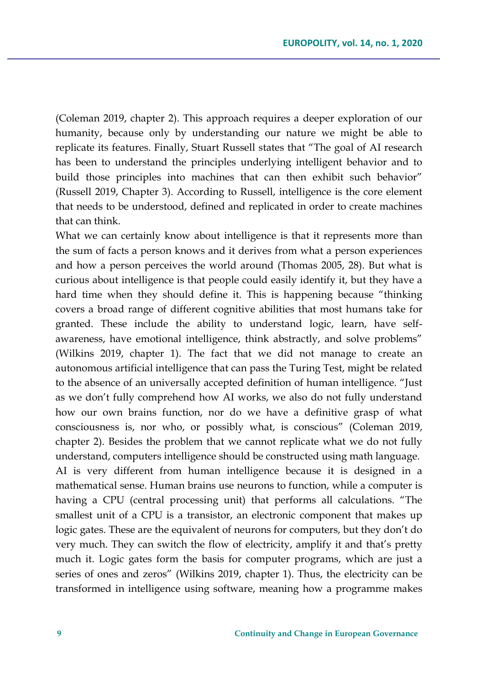(Coleman 2019, chapter 2). This approach requires a deeper exploration of our humanity, because only by understanding our nature we might be able to replicate its features. Finally, Stuart Russell states that "The goal of AI research has been to understand the principles underlying intelligent behavior and to build those principles into machines that can then exhibit such behavior" (Russell 2019, Chapter 3). According to Russell, intelligence is the core element that needs to be understood, defined and replicated in order to create machines that can think.

What we can certainly know about intelligence is that it represents more than the sum of facts a person knows and it derives from what a person experiences and how a person perceives the world around (Thomas 2005, 28). But what is curious about intelligence is that people could easily identify it, but they have a hard time when they should define it. This is happening because "thinking covers a broad range of different cognitive abilities that most humans take for granted. These include the ability to understand logic, learn, have selfawareness, have emotional intelligence, think abstractly, and solve problems" (Wilkins 2019, chapter 1). The fact that we did not manage to create an autonomous artificial intelligence that can pass the Turing Test, might be related to the absence of an universally accepted definition of human intelligence. "Just as we don't fully comprehend how AI works, we also do not fully understand how our own brains function, nor do we have a definitive grasp of what consciousness is, nor who, or possibly what, is conscious" (Coleman 2019, chapter 2). Besides the problem that we cannot replicate what we do not fully understand, computers intelligence should be constructed using math language. AI is very different from human intelligence because it is designed in a mathematical sense. Human brains use neurons to function, while a computer is having a CPU (central processing unit) that performs all calculations. "The smallest unit of a CPU is a transistor, an electronic component that makes up logic gates. These are the equivalent of neurons for computers, but they don't do very much. They can switch the flow of electricity, amplify it and that's pretty much it. Logic gates form the basis for computer programs, which are just a series of ones and zeros" (Wilkins 2019, chapter 1). Thus, the electricity can be

transformed in intelligence using software, meaning how a programme makes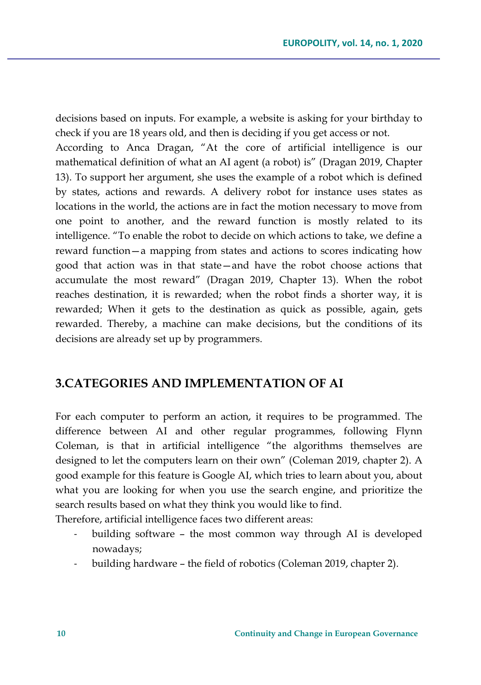decisions based on inputs. For example, a website is asking for your birthday to check if you are 18 years old, and then is deciding if you get access or not.

According to Anca Dragan, "At the core of artificial intelligence is our mathematical definition of what an AI agent (a robot) is" (Dragan 2019, Chapter 13). To support her argument, she uses the example of a robot which is defined by states, actions and rewards. A delivery robot for instance uses states as locations in the world, the actions are in fact the motion necessary to move from one point to another, and the reward function is mostly related to its intelligence. "To enable the robot to decide on which actions to take, we define a reward function—a mapping from states and actions to scores indicating how good that action was in that state—and have the robot choose actions that accumulate the most reward" (Dragan 2019, Chapter 13). When the robot reaches destination, it is rewarded; when the robot finds a shorter way, it is rewarded; When it gets to the destination as quick as possible, again, gets rewarded. Thereby, a machine can make decisions, but the conditions of its decisions are already set up by programmers.

### **3.CATEGORIES AND IMPLEMENTATION OF AI**

For each computer to perform an action, it requires to be programmed. The difference between AI and other regular programmes, following Flynn Coleman, is that in artificial intelligence "the algorithms themselves are designed to let the computers learn on their own" (Coleman 2019, chapter 2). A good example for this feature is Google AI, which tries to learn about you, about what you are looking for when you use the search engine, and prioritize the search results based on what they think you would like to find.

Therefore, artificial intelligence faces two different areas:

- building software the most common way through AI is developed nowadays;
- building hardware the field of robotics (Coleman 2019, chapter 2).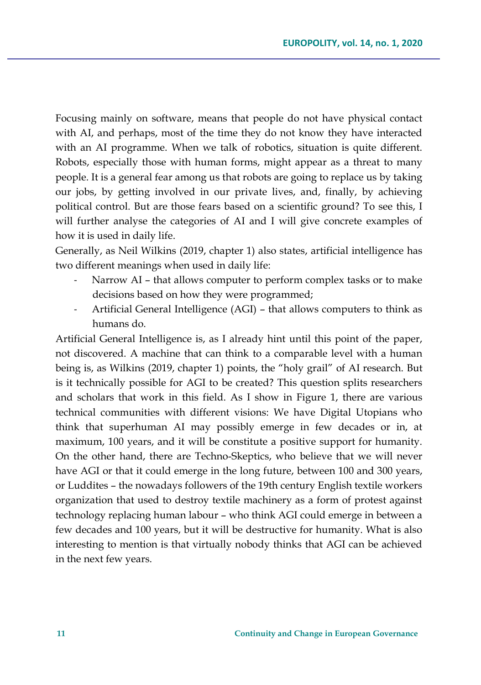Focusing mainly on software, means that people do not have physical contact with AI, and perhaps, most of the time they do not know they have interacted with an AI programme. When we talk of robotics, situation is quite different. Robots, especially those with human forms, might appear as a threat to many people. It is a general fear among us that robots are going to replace us by taking our jobs, by getting involved in our private lives, and, finally, by achieving political control. But are those fears based on a scientific ground? To see this, I will further analyse the categories of AI and I will give concrete examples of how it is used in daily life.

Generally, as Neil Wilkins (2019, chapter 1) also states, artificial intelligence has two different meanings when used in daily life:

- Narrow AI that allows computer to perform complex tasks or to make decisions based on how they were programmed;
- Artificial General Intelligence (AGI) that allows computers to think as humans do.

Artificial General Intelligence is, as I already hint until this point of the paper, not discovered. A machine that can think to a comparable level with a human being is, as Wilkins (2019, chapter 1) points, the "holy grail" of AI research. But is it technically possible for AGI to be created? This question splits researchers and scholars that work in this field. As I show in Figure 1, there are various technical communities with different visions: We have Digital Utopians who think that superhuman AI may possibly emerge in few decades or in, at maximum, 100 years, and it will be constitute a positive support for humanity. On the other hand, there are Techno-Skeptics, who believe that we will never have AGI or that it could emerge in the long future, between 100 and 300 years, or Luddites – the nowadays followers of the 19th century English textile workers organization that used to destroy textile machinery as a form of protest against technology replacing human labour – who think AGI could emerge in between a few decades and 100 years, but it will be destructive for humanity. What is also interesting to mention is that virtually nobody thinks that AGI can be achieved in the next few years.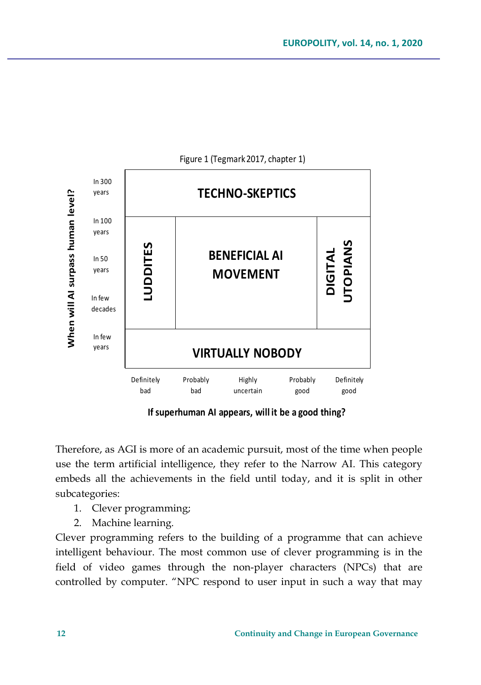

**If superhuman AI appears, will it be a good thing?**

Therefore, as AGI is more of an academic pursuit, most of the time when people use the term artificial intelligence, they refer to the Narrow AI. This category embeds all the achievements in the field until today, and it is split in other subcategories:

- 1. Clever programming;
- 2. Machine learning.

Clever programming refers to the building of a programme that can achieve intelligent behaviour. The most common use of clever programming is in the field of video games through the non-player characters (NPCs) that are controlled by computer. "NPC respond to user input in such a way that may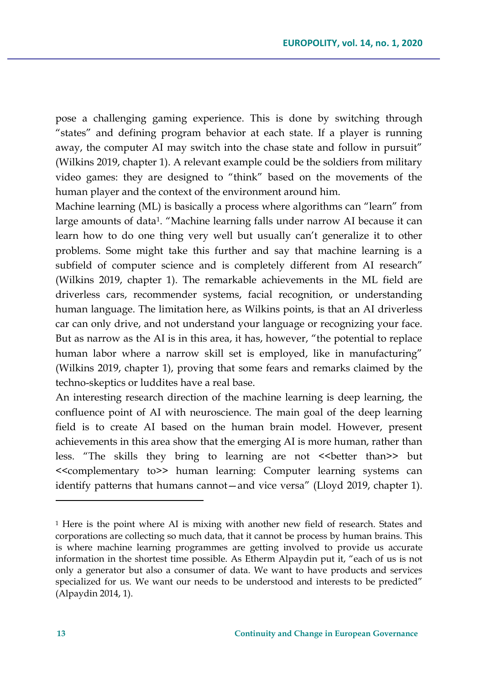pose a challenging gaming experience. This is done by switching through "states" and defining program behavior at each state. If a player is running away, the computer AI may switch into the chase state and follow in pursuit" (Wilkins 2019, chapter 1). A relevant example could be the soldiers from military video games: they are designed to "think" based on the movements of the human player and the context of the environment around him.

Machine learning (ML) is basically a process where algorithms can "learn" from large amounts of data<sup>1</sup>. "Machine learning falls under narrow AI because it can learn how to do one thing very well but usually can't generalize it to other problems. Some might take this further and say that machine learning is a subfield of computer science and is completely different from AI research" (Wilkins 2019, chapter 1). The remarkable achievements in the ML field are driverless cars, recommender systems, facial recognition, or understanding human language. The limitation here, as Wilkins points, is that an AI driverless car can only drive, and not understand your language or recognizing your face. But as narrow as the AI is in this area, it has, however, "the potential to replace human labor where a narrow skill set is employed, like in manufacturing" (Wilkins 2019, chapter 1), proving that some fears and remarks claimed by the techno-skeptics or luddites have a real base.

An interesting research direction of the machine learning is deep learning, the confluence point of AI with neuroscience. The main goal of the deep learning field is to create AI based on the human brain model. However, present achievements in this area show that the emerging AI is more human, rather than less. "The skills they bring to learning are not << better than >> but <<complementary to>> human learning: Computer learning systems can identify patterns that humans cannot—and vice versa" (Lloyd 2019, chapter 1).

<sup>1</sup> Here is the point where AI is mixing with another new field of research. States and corporations are collecting so much data, that it cannot be process by human brains. This is where machine learning programmes are getting involved to provide us accurate information in the shortest time possible. As Etherm Alpaydin put it, "each of us is not only a generator but also a consumer of data. We want to have products and services specialized for us. We want our needs to be understood and interests to be predicted" (Alpaydin 2014, 1).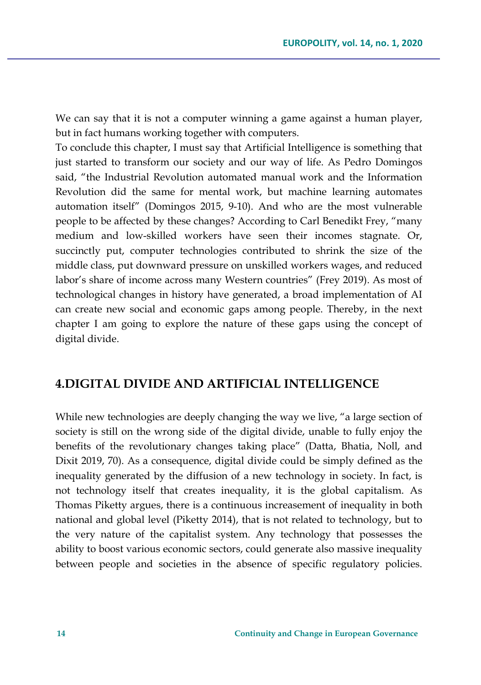We can say that it is not a computer winning a game against a human player, but in fact humans working together with computers.

To conclude this chapter, I must say that Artificial Intelligence is something that just started to transform our society and our way of life. As Pedro Domingos said, "the Industrial Revolution automated manual work and the Information Revolution did the same for mental work, but machine learning automates automation itself" (Domingos 2015, 9-10). And who are the most vulnerable people to be affected by these changes? According to Carl Benedikt Frey, "many medium and low-skilled workers have seen their incomes stagnate. Or, succinctly put, computer technologies contributed to shrink the size of the middle class, put downward pressure on unskilled workers wages, and reduced labor's share of income across many Western countries" (Frey 2019). As most of technological changes in history have generated, a broad implementation of AI can create new social and economic gaps among people. Thereby, in the next chapter I am going to explore the nature of these gaps using the concept of digital divide.

## **4.DIGITAL DIVIDE AND ARTIFICIAL INTELLIGENCE**

While new technologies are deeply changing the way we live, "a large section of society is still on the wrong side of the digital divide, unable to fully enjoy the benefits of the revolutionary changes taking place" (Datta, Bhatia, Noll, and Dixit 2019, 70). As a consequence, digital divide could be simply defined as the inequality generated by the diffusion of a new technology in society. In fact, is not technology itself that creates inequality, it is the global capitalism. As Thomas Piketty argues, there is a continuous increasement of inequality in both national and global level (Piketty 2014), that is not related to technology, but to the very nature of the capitalist system. Any technology that possesses the ability to boost various economic sectors, could generate also massive inequality between people and societies in the absence of specific regulatory policies.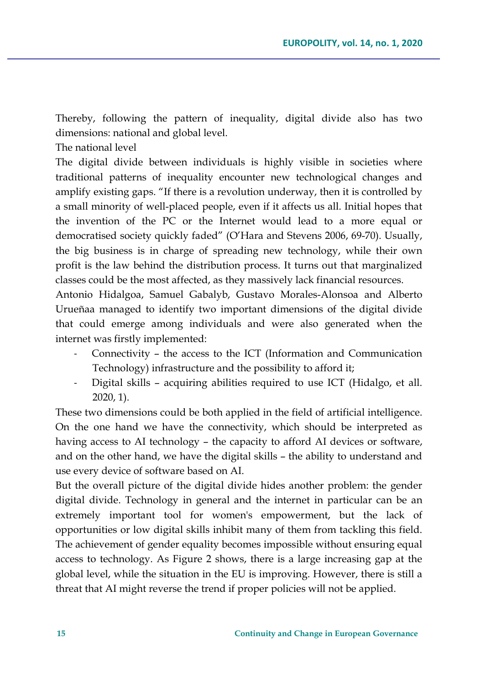Thereby, following the pattern of inequality, digital divide also has two dimensions: national and global level.

The national level

The digital divide between individuals is highly visible in societies where traditional patterns of inequality encounter new technological changes and amplify existing gaps. "If there is a revolution underway, then it is controlled by a small minority of well-placed people, even if it affects us all. Initial hopes that the invention of the PC or the Internet would lead to a more equal or democratised society quickly faded" (O'Hara and Stevens 2006, 69-70). Usually, the big business is in charge of spreading new technology, while their own profit is the law behind the distribution process. It turns out that marginalized classes could be the most affected, as they massively lack financial resources.

Antonio Hidalgoa, Samuel Gabalyb, Gustavo Morales-Alonsoa and Alberto Urueñaa managed to identify two important dimensions of the digital divide that could emerge among individuals and were also generated when the internet was firstly implemented:

- Connectivity the access to the ICT (Information and Communication Technology) infrastructure and the possibility to afford it;
- Digital skills acquiring abilities required to use ICT (Hidalgo, et all. 2020, 1).

These two dimensions could be both applied in the field of artificial intelligence. On the one hand we have the connectivity, which should be interpreted as having access to AI technology – the capacity to afford AI devices or software, and on the other hand, we have the digital skills – the ability to understand and use every device of software based on AI.

But the overall picture of the digital divide hides another problem: the gender digital divide. Technology in general and the internet in particular can be an extremely important tool for women's empowerment, but the lack of opportunities or low digital skills inhibit many of them from tackling this field. The achievement of gender equality becomes impossible without ensuring equal access to technology. As Figure 2 shows, there is a large increasing gap at the global level, while the situation in the EU is improving. However, there is still a threat that AI might reverse the trend if proper policies will not be applied.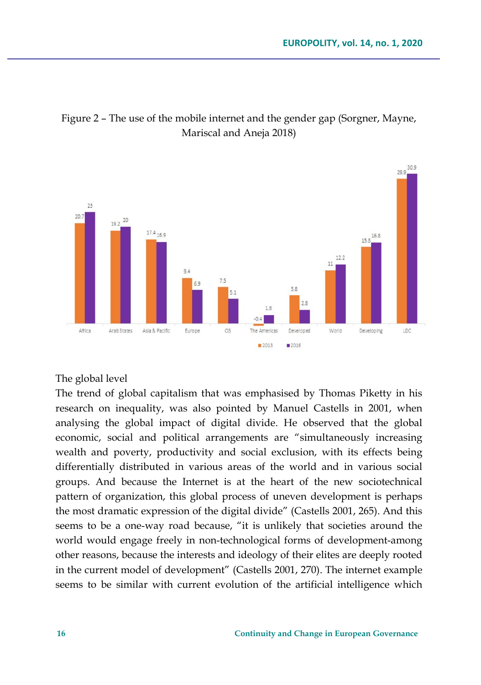



#### The global level

The trend of global capitalism that was emphasised by Thomas Piketty in his research on inequality, was also pointed by Manuel Castells in 2001, when analysing the global impact of digital divide. He observed that the global economic, social and political arrangements are "simultaneously increasing wealth and poverty, productivity and social exclusion, with its effects being differentially distributed in various areas of the world and in various social groups. And because the Internet is at the heart of the new sociotechnical pattern of organization, this global process of uneven development is perhaps the most dramatic expression of the digital divide" (Castells 2001, 265). And this seems to be a one-way road because, "it is unlikely that societies around the world would engage freely in non-technological forms of development-among other reasons, because the interests and ideology of their elites are deeply rooted in the current model of development" (Castells 2001, 270). The internet example seems to be similar with current evolution of the artificial intelligence which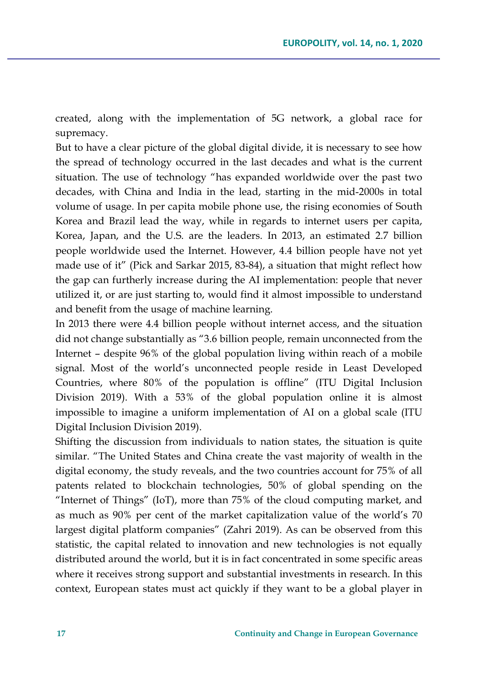created, along with the implementation of 5G network, a global race for supremacy.

But to have a clear picture of the global digital divide, it is necessary to see how the spread of technology occurred in the last decades and what is the current situation. The use of technology "has expanded worldwide over the past two decades, with China and India in the lead, starting in the mid-2000s in total volume of usage. In per capita mobile phone use, the rising economies of South Korea and Brazil lead the way, while in regards to internet users per capita, Korea, Japan, and the U.S. are the leaders. In 2013, an estimated 2.7 billion people worldwide used the Internet. However, 4.4 billion people have not yet made use of it" (Pick and Sarkar 2015, 83-84), a situation that might reflect how the gap can furtherly increase during the AI implementation: people that never utilized it, or are just starting to, would find it almost impossible to understand and benefit from the usage of machine learning.

In 2013 there were 4.4 billion people without internet access, and the situation did not change substantially as "3.6 billion people, remain unconnected from the Internet – despite 96% of the global population living within reach of a mobile signal. Most of the world's unconnected people reside in Least Developed Countries, where 80% of the population is offline" (ITU Digital Inclusion Division 2019). With a 53% of the global population online it is almost impossible to imagine a uniform implementation of AI on a global scale (ITU Digital Inclusion Division 2019).

Shifting the discussion from individuals to nation states, the situation is quite similar. "The United States and China create the vast majority of wealth in the digital economy, the study reveals, and the two countries account for 75% of all patents related to blockchain technologies, 50% of global spending on the "Internet of Things" (IoT), more than 75% of the cloud computing market, and as much as 90% per cent of the market capitalization value of the world's 70 largest digital platform companies" (Zahri 2019). As can be observed from this statistic, the capital related to innovation and new technologies is not equally distributed around the world, but it is in fact concentrated in some specific areas where it receives strong support and substantial investments in research. In this context, European states must act quickly if they want to be a global player in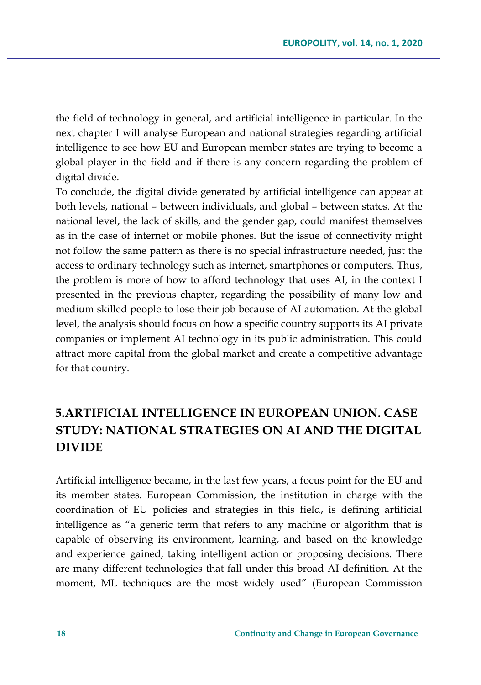the field of technology in general, and artificial intelligence in particular. In the next chapter I will analyse European and national strategies regarding artificial intelligence to see how EU and European member states are trying to become a global player in the field and if there is any concern regarding the problem of digital divide.

To conclude, the digital divide generated by artificial intelligence can appear at both levels, national – between individuals, and global – between states. At the national level, the lack of skills, and the gender gap, could manifest themselves as in the case of internet or mobile phones. But the issue of connectivity might not follow the same pattern as there is no special infrastructure needed, just the access to ordinary technology such as internet, smartphones or computers. Thus, the problem is more of how to afford technology that uses AI, in the context I presented in the previous chapter, regarding the possibility of many low and medium skilled people to lose their job because of AI automation. At the global level, the analysis should focus on how a specific country supports its AI private companies or implement AI technology in its public administration. This could attract more capital from the global market and create a competitive advantage for that country.

# **5.ARTIFICIAL INTELLIGENCE IN EUROPEAN UNION. CASE STUDY: NATIONAL STRATEGIES ON AI AND THE DIGITAL DIVIDE**

Artificial intelligence became, in the last few years, a focus point for the EU and its member states. European Commission, the institution in charge with the coordination of EU policies and strategies in this field, is defining artificial intelligence as "a generic term that refers to any machine or algorithm that is capable of observing its environment, learning, and based on the knowledge and experience gained, taking intelligent action or proposing decisions. There are many different technologies that fall under this broad AI definition. At the moment, ML techniques are the most widely used" (European Commission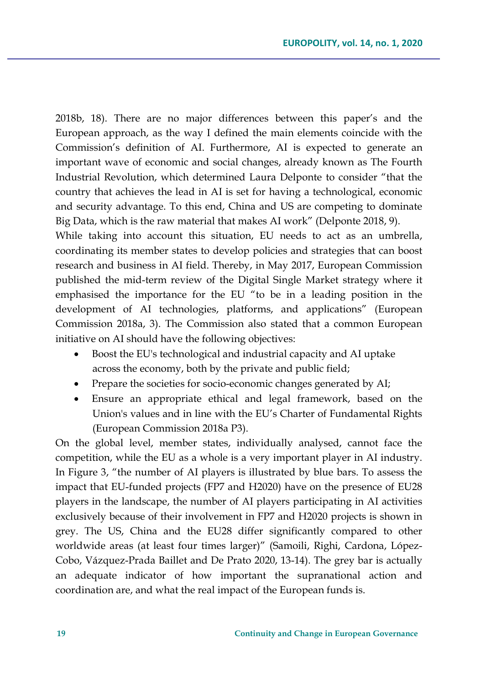2018b, 18). There are no major differences between this paper's and the European approach, as the way I defined the main elements coincide with the Commission's definition of AI. Furthermore, AI is expected to generate an important wave of economic and social changes, already known as The Fourth Industrial Revolution, which determined Laura Delponte to consider "that the country that achieves the lead in AI is set for having a technological, economic and security advantage. To this end, China and US are competing to dominate Big Data, which is the raw material that makes AI work" (Delponte 2018, 9).

While taking into account this situation, EU needs to act as an umbrella, coordinating its member states to develop policies and strategies that can boost research and business in AI field. Thereby, in May 2017, European Commission published the mid-term review of the Digital Single Market strategy where it emphasised the importance for the EU "to be in a leading position in the development of AI technologies, platforms, and applications" (European Commission 2018a, 3). The Commission also stated that a common European initiative on AI should have the following objectives:

- Boost the EU's technological and industrial capacity and AI uptake across the economy, both by the private and public field;
- Prepare the societies for socio-economic changes generated by AI;
- Ensure an appropriate ethical and legal framework, based on the Union's values and in line with the EU's Charter of Fundamental Rights (European Commission 2018a P3).

On the global level, member states, individually analysed, cannot face the competition, while the EU as a whole is a very important player in AI industry. In Figure 3, "the number of AI players is illustrated by blue bars. To assess the impact that EU-funded projects (FP7 and H2020) have on the presence of EU28 players in the landscape, the number of AI players participating in AI activities exclusively because of their involvement in FP7 and H2020 projects is shown in grey. The US, China and the EU28 differ significantly compared to other worldwide areas (at least four times larger)" (Samoili, Righi, Cardona, López-Cobo, Vázquez-Prada Baillet and De Prato 2020, 13-14). The grey bar is actually an adequate indicator of how important the supranational action and coordination are, and what the real impact of the European funds is.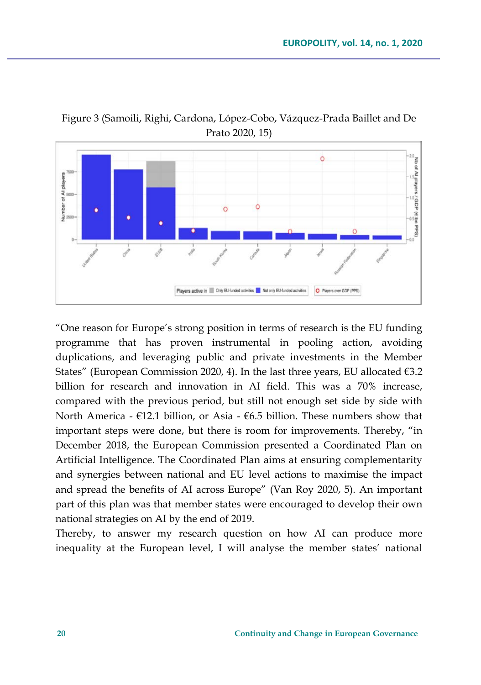

Figure 3 (Samoili, Righi, Cardona, López-Cobo, Vázquez-Prada Baillet and De Prato 2020, 15)

"One reason for Europe's strong position in terms of research is the EU funding programme that has proven instrumental in pooling action, avoiding duplications, and leveraging public and private investments in the Member States" (European Commission 2020, 4). In the last three years, EU allocated €3.2 billion for research and innovation in AI field. This was a 70% increase, compared with the previous period, but still not enough set side by side with North America -  $\epsilon$ 12.1 billion, or Asia -  $\epsilon$ 6.5 billion. These numbers show that important steps were done, but there is room for improvements. Thereby, "in December 2018, the European Commission presented a Coordinated Plan on Artificial Intelligence. The Coordinated Plan aims at ensuring complementarity and synergies between national and EU level actions to maximise the impact and spread the benefits of AI across Europe" (Van Roy 2020, 5). An important part of this plan was that member states were encouraged to develop their own national strategies on AI by the end of 2019.

Thereby, to answer my research question on how AI can produce more inequality at the European level, I will analyse the member states' national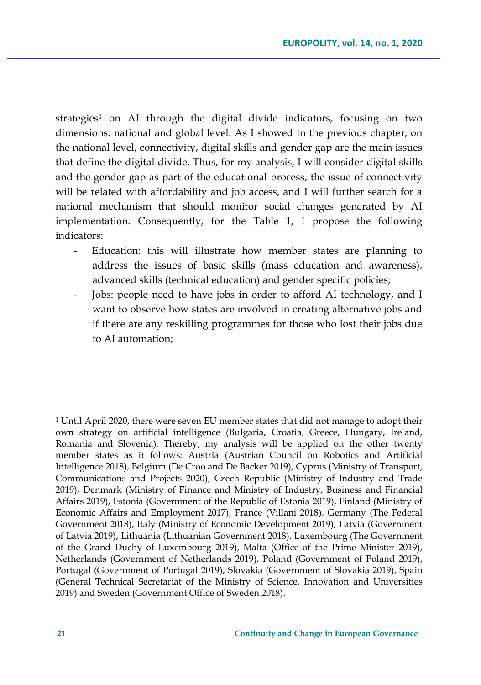strategies<sup>1</sup> on AI through the digital divide indicators, focusing on two dimensions: national and global level. As I showed in the previous chapter, on the national level, connectivity, digital skills and gender gap are the main issues that define the digital divide. Thus, for my analysis, I will consider digital skills and the gender gap as part of the educational process, the issue of connectivity will be related with affordability and job access, and I will further search for a national mechanism that should monitor social changes generated by AI implementation. Consequently, for the Table 1, I propose the following indicators:

- Education: this will illustrate how member states are planning to address the issues of basic skills (mass education and awareness), advanced skills (technical education) and gender specific policies;
- Jobs: people need to have jobs in order to afford AI technology, and I want to observe how states are involved in creating alternative jobs and if there are any reskilling programmes for those who lost their jobs due to AI automation;

 $1$  Until April 2020, there were seven EU member states that did not manage to adopt their own strategy on artificial intelligence (Bulgaria, Croatia, Greece, Hungary, Ireland, Romania and Slovenia). Thereby, my analysis will be applied on the other twenty member states as it follows: Austria (Austrian Council on Robotics and Artificial Intelligence 2018), Belgium (De Croo and De Backer 2019), Cyprus (Ministry of Transport, Communications and Projects 2020), Czech Republic (Ministry of Industry and Trade 2019), Denmark (Ministry of Finance and Ministry of Industry, Business and Financial Affairs 2019), Estonia (Government of the Republic of Estonia 2019), Finland (Ministry of Economic Affairs and Employment 2017), France (Villani 2018), Germany (The Federal Government 2018), Italy (Ministry of Economic Development 2019), Latvia (Government of Latvia 2019), Lithuania (Lithuanian Government 2018), Luxembourg (The Government of the Grand Duchy of Luxembourg 2019), Malta (Office of the Prime Minister 2019), Netherlands (Government of Netherlands 2019), Poland (Government of Poland 2019), Portugal (Government of Portugal 2019), Slovakia (Government of Slovakia 2019), Spain (General Technical Secretariat of the Ministry of Science, Innovation and Universities 2019) and Sweden (Government Office of Sweden 2018).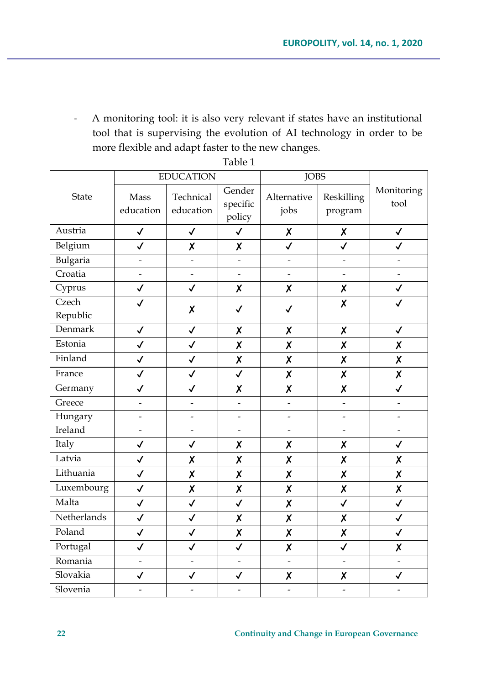- A monitoring tool: it is also very relevant if states have an institutional tool that is supervising the evolution of AI technology in order to be more flexible and adapt faster to the new changes.

|                   |                          | <b>EDUCATION</b>         |                              | <b>JOBS</b>              |                          |                          |
|-------------------|--------------------------|--------------------------|------------------------------|--------------------------|--------------------------|--------------------------|
| State             | Mass<br>education        | Technical<br>education   | Gender<br>specific<br>policy | Alternative<br>jobs      | Reskilling<br>program    | Monitoring<br>tool       |
| Austria           | $\checkmark$             | $\checkmark$             | $\checkmark$                 | X                        | χ                        | $\checkmark$             |
| Belgium           | $\checkmark$             | X                        | χ                            | $\checkmark$             | $\checkmark$             | $\checkmark$             |
| Bulgaria          |                          | -                        |                              | $\overline{a}$           | -                        |                          |
| Croatia           | $\overline{a}$           | $\overline{\phantom{m}}$ | $\frac{1}{2}$                | $\overline{a}$           | $\overline{\phantom{0}}$ | $\overline{\phantom{a}}$ |
| Cyprus            | $\checkmark$             | $\checkmark$             | Χ                            | X                        | χ                        | $\checkmark$             |
| Czech<br>Republic | ✓                        | X                        | $\checkmark$                 | $\checkmark$             | X                        | ✓                        |
| Denmark           | $\checkmark$             | $\checkmark$             | X                            | X                        | χ                        | $\checkmark$             |
| Estonia           | $\checkmark$             | $\checkmark$             | X                            | X                        | X                        | Χ                        |
| Finland           | $\checkmark$             | $\checkmark$             | χ                            | X                        | X                        | X                        |
| France            | $\checkmark$             | $\checkmark$             | $\checkmark$                 | X                        | X                        | X                        |
| Germany           | ✓                        | $\checkmark$             | χ                            | χ                        | X                        | $\checkmark$             |
| Greece            | $\overline{\phantom{0}}$ | $\overline{a}$           | $\overline{a}$               | $\overline{a}$           | $\overline{\phantom{0}}$ | $\overline{a}$           |
| Hungary           | $\overline{a}$           | $\overline{a}$           | $\overline{a}$               | $\overline{\phantom{0}}$ | $\overline{\phantom{0}}$ | $\overline{\phantom{0}}$ |
| Ireland           | $\overline{\phantom{0}}$ | -                        | $\overline{\phantom{a}}$     | $\overline{\phantom{0}}$ | $\overline{\phantom{a}}$ | $\overline{\phantom{a}}$ |
| Italy             | $\checkmark$             | $\checkmark$             | χ                            | χ                        | χ                        | $\checkmark$             |
| Latvia            | $\checkmark$             | χ                        | Χ                            | X                        | X                        | Χ                        |
| Lithuania         | $\checkmark$             | X                        | X                            | X                        | X                        | X                        |
| Luxembourg        | $\checkmark$             | X                        | X                            | X                        | X                        | X                        |
| Malta             | $\checkmark$             | $\checkmark$             | $\checkmark$                 | X                        | $\checkmark$             | $\checkmark$             |
| Netherlands       | $\checkmark$             | $\checkmark$             | X                            | X                        | X                        | $\checkmark$             |
| Poland            | $\checkmark$             | $\checkmark$             | χ                            | X                        | χ                        | $\checkmark$             |
| Portugal          | $\checkmark$             | $\checkmark$             | $\checkmark$                 | X                        | $\checkmark$             | χ                        |
| Romania           | $\overline{\phantom{0}}$ | $\overline{\phantom{0}}$ | $\overline{\phantom{a}}$     | $\overline{\phantom{a}}$ | $\overline{\phantom{a}}$ | $\overline{\phantom{a}}$ |
| Slovakia          | √                        | $\checkmark$             | $\checkmark$                 | χ                        | X                        | $\checkmark$             |
| Slovenia          | $\overline{\phantom{0}}$ | $\overline{\phantom{0}}$ | $\overline{\phantom{a}}$     | $\overline{\phantom{0}}$ | $\overline{\phantom{0}}$ | $\overline{\phantom{0}}$ |

Table 1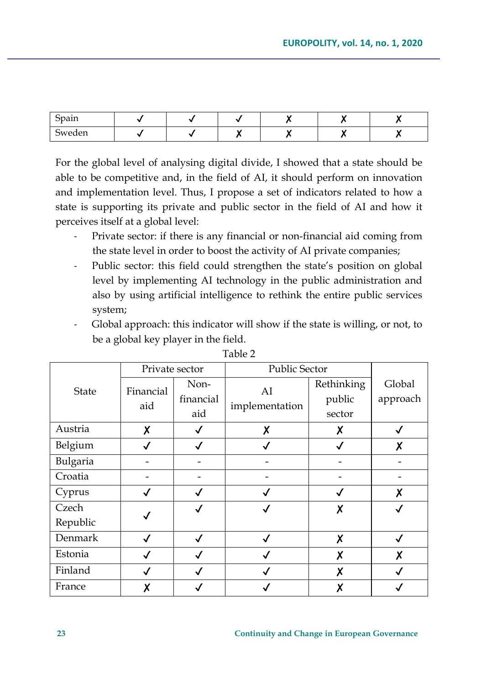| Spain  |  |  |  |
|--------|--|--|--|
| Sweden |  |  |  |

For the global level of analysing digital divide, I showed that a state should be able to be competitive and, in the field of AI, it should perform on innovation and implementation level. Thus, I propose a set of indicators related to how a state is supporting its private and public sector in the field of AI and how it perceives itself at a global level:

- Private sector: if there is any financial or non-financial aid coming from the state level in order to boost the activity of AI private companies;
- Public sector: this field could strengthen the state's position on global level by implementing AI technology in the public administration and also by using artificial intelligence to rethink the entire public services system;
- Global approach: this indicator will show if the state is willing, or not, to be a global key player in the field.

| <b>State</b> | Private sector   |           | Public Sector  |            |          |
|--------------|------------------|-----------|----------------|------------|----------|
|              | Financial<br>aid | Non-      | AI             | Rethinking | Global   |
|              |                  | financial | implementation | public     | approach |
|              |                  | aid       |                | sector     |          |
| Austria      | χ                |           | Χ              | χ          |          |
| Belgium      |                  |           |                |            | Χ        |
| Bulgaria     |                  |           |                |            |          |
| Croatia      |                  |           |                |            |          |
| Cyprus       |                  |           |                |            | X        |
| Czech        |                  |           |                | χ          |          |
| Republic     |                  |           |                |            |          |
| Denmark      |                  |           | √              | X          |          |
| Estonia      |                  |           |                | X          | χ        |
| Finland      |                  |           |                | Χ          |          |
| France       |                  |           |                | Χ          |          |

Table 2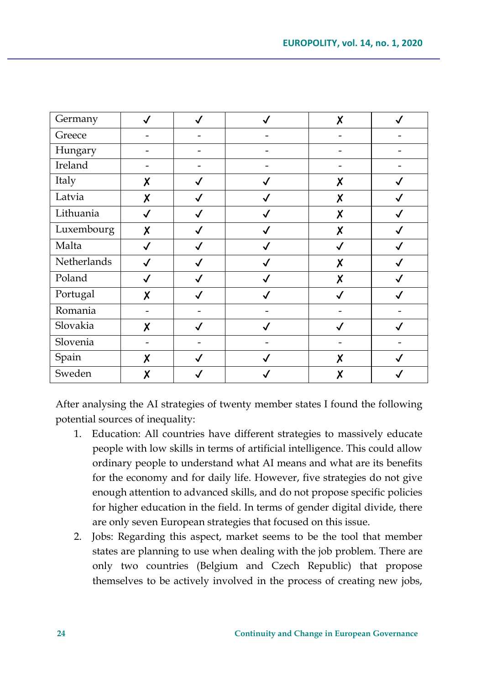| Germany     |              |              |   | X |   |
|-------------|--------------|--------------|---|---|---|
| Greece      |              |              |   |   |   |
| Hungary     |              |              |   |   |   |
| Ireland     |              |              |   |   |   |
| Italy       | X            | ✓            |   | X |   |
| Latvia      | χ            | $\checkmark$ |   | χ |   |
| Lithuania   | $\checkmark$ | ✓            |   | X |   |
| Luxembourg  | χ            | ✓            | √ | X | √ |
| Malta       | ✓            | ✓            |   | ✓ |   |
| Netherlands | √            | √            |   | X | √ |
| Poland      | $\checkmark$ | $\checkmark$ |   | χ |   |
| Portugal    | X            | √            | √ |   |   |
| Romania     |              |              |   |   |   |
| Slovakia    | X            |              |   |   |   |
| Slovenia    |              |              |   |   |   |
| Spain       | χ            | √            |   | X |   |
| Sweden      | X            |              |   | X |   |

After analysing the AI strategies of twenty member states I found the following potential sources of inequality:

- 1. Education: All countries have different strategies to massively educate people with low skills in terms of artificial intelligence. This could allow ordinary people to understand what AI means and what are its benefits for the economy and for daily life. However, five strategies do not give enough attention to advanced skills, and do not propose specific policies for higher education in the field. In terms of gender digital divide, there are only seven European strategies that focused on this issue.
- 2. Jobs: Regarding this aspect, market seems to be the tool that member states are planning to use when dealing with the job problem. There are only two countries (Belgium and Czech Republic) that propose themselves to be actively involved in the process of creating new jobs,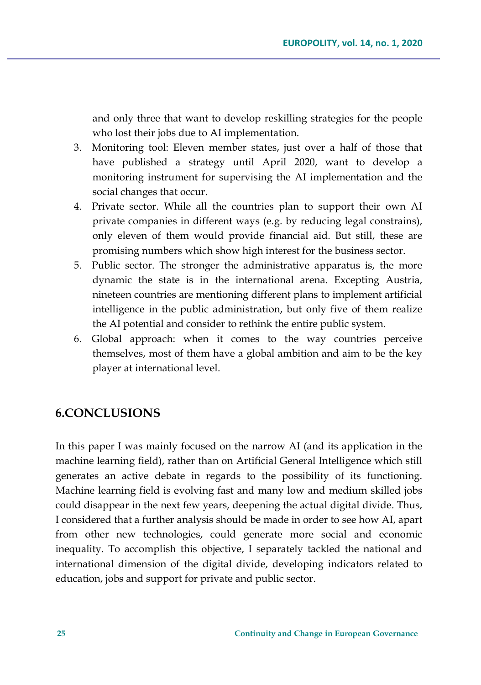and only three that want to develop reskilling strategies for the people who lost their jobs due to AI implementation.

- 3. Monitoring tool: Eleven member states, just over a half of those that have published a strategy until April 2020, want to develop a monitoring instrument for supervising the AI implementation and the social changes that occur.
- 4. Private sector. While all the countries plan to support their own AI private companies in different ways (e.g. by reducing legal constrains), only eleven of them would provide financial aid. But still, these are promising numbers which show high interest for the business sector.
- 5. Public sector. The stronger the administrative apparatus is, the more dynamic the state is in the international arena. Excepting Austria, nineteen countries are mentioning different plans to implement artificial intelligence in the public administration, but only five of them realize the AI potential and consider to rethink the entire public system.
- 6. Global approach: when it comes to the way countries perceive themselves, most of them have a global ambition and aim to be the key player at international level.

### **6.CONCLUSIONS**

In this paper I was mainly focused on the narrow AI (and its application in the machine learning field), rather than on Artificial General Intelligence which still generates an active debate in regards to the possibility of its functioning. Machine learning field is evolving fast and many low and medium skilled jobs could disappear in the next few years, deepening the actual digital divide. Thus, I considered that a further analysis should be made in order to see how AI, apart from other new technologies, could generate more social and economic inequality. To accomplish this objective, I separately tackled the national and international dimension of the digital divide, developing indicators related to education, jobs and support for private and public sector.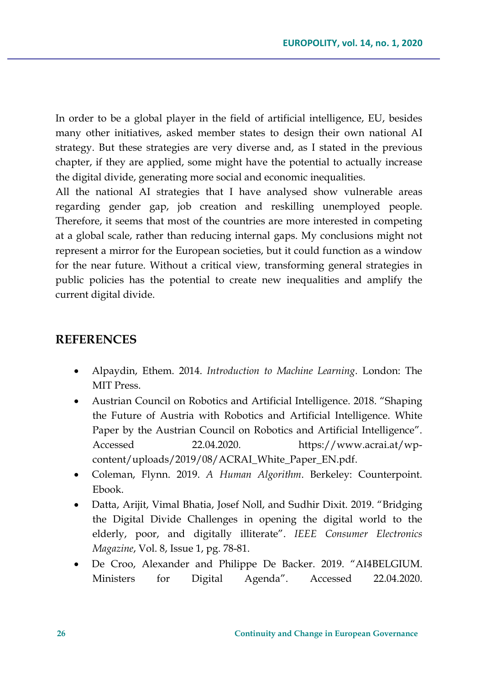In order to be a global player in the field of artificial intelligence, EU, besides many other initiatives, asked member states to design their own national AI strategy. But these strategies are very diverse and, as I stated in the previous chapter, if they are applied, some might have the potential to actually increase the digital divide, generating more social and economic inequalities.

All the national AI strategies that I have analysed show vulnerable areas regarding gender gap, job creation and reskilling unemployed people. Therefore, it seems that most of the countries are more interested in competing at a global scale, rather than reducing internal gaps. My conclusions might not represent a mirror for the European societies, but it could function as a window for the near future. Without a critical view, transforming general strategies in public policies has the potential to create new inequalities and amplify the current digital divide.

#### **REFERENCES**

- Alpaydin, Ethem. 2014. *Introduction to Machine Learning*. London: The MIT Press.
- Austrian Council on Robotics and Artificial Intelligence. 2018. "Shaping the Future of Austria with Robotics and Artificial Intelligence. White Paper by the Austrian Council on Robotics and Artificial Intelligence". Accessed 22.04.2020. [https://www.acrai.at/wp](https://www.acrai.at/wp-content/uploads/2019/08/ACRAI_White_Paper_EN.pdf)[content/uploads/2019/08/ACRAI\\_White\\_Paper\\_EN.pdf](https://www.acrai.at/wp-content/uploads/2019/08/ACRAI_White_Paper_EN.pdf).
- Coleman, Flynn. 2019. *A Human Algorithm*. Berkeley: Counterpoint. Ebook.
- Datta, Arijit, Vimal Bhatia, Josef Noll, and Sudhir Dixit. 2019. "Bridging the Digital Divide Challenges in opening the digital world to the elderly, poor, and digitally illiterate". *IEEE Consumer Electronics Magazine*, Vol. 8, Issue 1, pg. 78-81.
- De Croo, Alexander and Philippe De Backer. 2019. "AI4BELGIUM. Ministers for Digital Agenda". Accessed 22.04.2020.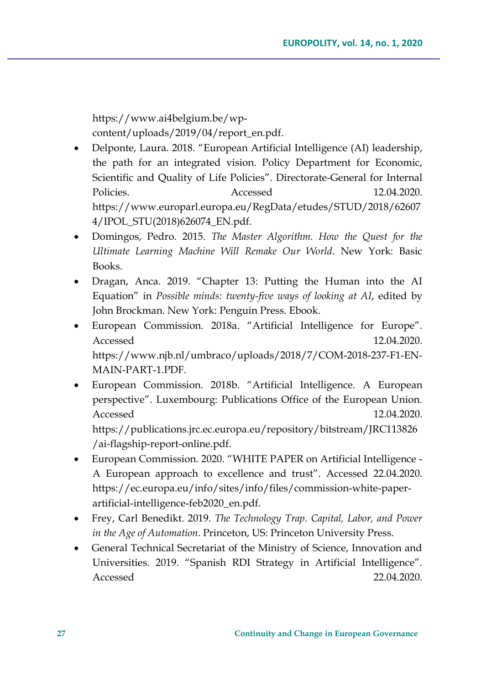[https://www.ai4belgium.be/wp](https://www.ai4belgium.be/wp-content/uploads/2019/04/report_en.pdf)[content/uploads/2019/04/report\\_en.pdf](https://www.ai4belgium.be/wp-content/uploads/2019/04/report_en.pdf).

- Delponte, Laura. 2018. "European Artificial Intelligence (AI) leadership, the path for an integrated vision. Policy Department for Economic, Scientific and Quality of Life Policies". Directorate-General for Internal Policies. **Accessed 12.04.2020**. https://www.europarl.europa.eu/RegData/etudes/STUD/2018/62607 4/IPOL\_STU(2018)626074\_EN.pdf.
- Domingos, Pedro. 2015. *The Master Algorithm. How the Quest for the Ultimate Learning Machine Will Remake Our World*. New York: Basic Books.
- Dragan, Anca. 2019. "Chapter 13: Putting the Human into the AI Equation" in *Possible minds: twenty-five ways of looking at AI*, edited by John Brockman. New York: Penguin Press. Ebook.
- European Commission. 2018a. "Artificial Intelligence for Europe". Accessed 12.04.2020. https://www.njb.nl/umbraco/uploads/2018/7/COM-2018-237-F1-EN-MAIN-PART-1.PDF.
- European Commission. 2018b. "Artificial Intelligence. A European perspective". Luxembourg: Publications Office of the European Union. Accessed 12.04.2020. https://publications.jrc.ec.europa.eu/repository/bitstream/JRC113826 /ai-flagship-report-online.pdf.
- European Commission. 2020. "WHITE PAPER on Artificial Intelligence A European approach to excellence and trust". Accessed 22.04.2020. [https://ec.europa.eu/info/sites/info/files/commission](https://ec.europa.eu/info/sites/info/files/commission-white-paper-artificial-intelligence-feb2020_en.pdf)-white-paperartificial-intelligence-[feb2020\\_en.pdf](https://ec.europa.eu/info/sites/info/files/commission-white-paper-artificial-intelligence-feb2020_en.pdf).
- Frey, Carl Benedikt. 2019. *The Technology Trap. Capital, Labor, and Power in the Age of Automation*. Princeton, US: Princeton University Press.
- General Technical Secretariat of the Ministry of Science, Innovation and Universities. 2019. "Spanish RDI Strategy in Artificial Intelligence". Accessed 22.04.2020.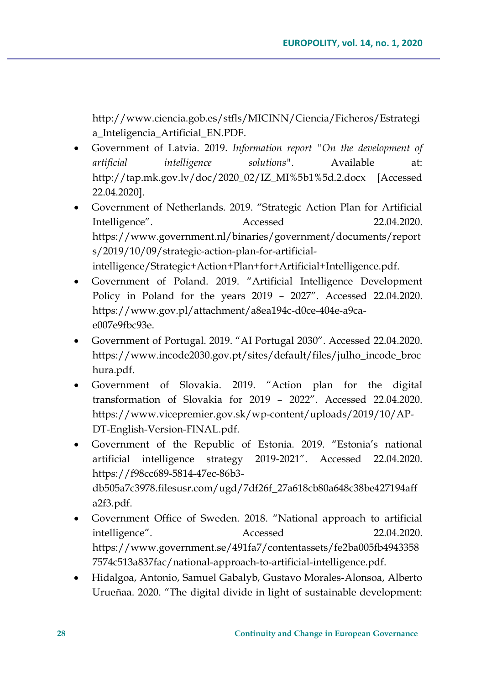[http://www.ciencia.gob.es/stfls/MICINN/Ciencia/Ficheros/Estrategi](http://www.ciencia.gob.es/stfls/MICINN/Ciencia/Ficheros/Estrategia_Inteligencia_Artificial_EN.PDF) [a\\_Inteligencia\\_Artificial\\_EN.PDF](http://www.ciencia.gob.es/stfls/MICINN/Ciencia/Ficheros/Estrategia_Inteligencia_Artificial_EN.PDF).

- Government of Latvia. 2019. *Information report "On the development of artificial intelligence solutions"*. Available at: [http://tap.mk.gov.lv/doc/2020\\_02/IZ\\_MI%5b1%5d.2.docx](http://tap.mk.gov.lv/doc/2020_02/IZ_MI%5b1%5d.2.docx) [Accessed 22.04.2020].
- Government of Netherlands. 2019. "Strategic Action Plan for Artificial Intelligence". Accessed 22.04.2020. [https://www.government.nl/binaries/government/documents/report](https://www.government.nl/binaries/government/documents/reports/2019/10/09/strategic-action-plan-for-artificial-intelligence/Strategic+Action+Plan+for+Artificial+Intelligence.pdf) [s/2019/10/09/strategic](https://www.government.nl/binaries/government/documents/reports/2019/10/09/strategic-action-plan-for-artificial-intelligence/Strategic+Action+Plan+for+Artificial+Intelligence.pdf)-action-plan-for-artificial[intelligence/Strategic+Action+Plan+for+Artificial+Intelligence.pdf](https://www.government.nl/binaries/government/documents/reports/2019/10/09/strategic-action-plan-for-artificial-intelligence/Strategic+Action+Plan+for+Artificial+Intelligence.pdf).
- Government of Poland. 2019. "Artificial Intelligence Development Policy in Poland for the years 2019 – 2027". Accessed 22.04.2020. [https://www.gov.pl/attachment/a8ea194c](https://www.gov.pl/attachment/a8ea194c-d0ce-404e-a9ca-e007e9fbc93e)-d0ce-404e-a9ca[e007e9fbc93e](https://www.gov.pl/attachment/a8ea194c-d0ce-404e-a9ca-e007e9fbc93e).
- Government of Portugal. 2019. "AI Portugal 2030". Accessed 22.04.2020. [https://www.incode2030.gov.pt/sites/default/files/julho\\_incode\\_broc](https://www.incode2030.gov.pt/sites/default/files/julho_incode_brochura.pdf) [hura.pdf](https://www.incode2030.gov.pt/sites/default/files/julho_incode_brochura.pdf).
- Government of Slovakia. 2019. "Action plan for the digital transformation of Slovakia for 2019 – 2022". Accessed 22.04.2020. [https://www.vicepremier.gov.sk/wp](https://www.vicepremier.gov.sk/wp-content/uploads/2019/10/AP-DT-English-Version-FINAL.pdf)-content/uploads/2019/10/AP-DT-English-Version-[FINAL.pdf](https://www.vicepremier.gov.sk/wp-content/uploads/2019/10/AP-DT-English-Version-FINAL.pdf).
- Government of the Republic of Estonia. 2019. "Estonia's national artificial intelligence strategy 2019-2021". Accessed 22.04.2020. [https://f98cc689](https://f98cc689-5814-47ec-86b3-db505a7c3978.filesusr.com/ugd/7df26f_27a618cb80a648c38be427194affa2f3.pdf)-5814-47ec-86b3 [db505a7c3978.filesusr.com/ugd/7df26f\\_27a618cb80a648c38be427194aff](https://f98cc689-5814-47ec-86b3-db505a7c3978.filesusr.com/ugd/7df26f_27a618cb80a648c38be427194affa2f3.pdf) [a2f3.pdf](https://f98cc689-5814-47ec-86b3-db505a7c3978.filesusr.com/ugd/7df26f_27a618cb80a648c38be427194affa2f3.pdf).
- Government Office of Sweden. 2018. "National approach to artificial intelligence". Accessed 22.04.2020. https://www.government.se/491fa7/contentassets/fe2ba005fb4943358 7574c513a837fac/national-approach-to-artificial-intelligence.pdf.
- Hidalgoa, Antonio, Samuel Gabalyb, Gustavo Morales-Alonsoa, Alberto Urueñaa. 2020. "The digital divide in light of sustainable development: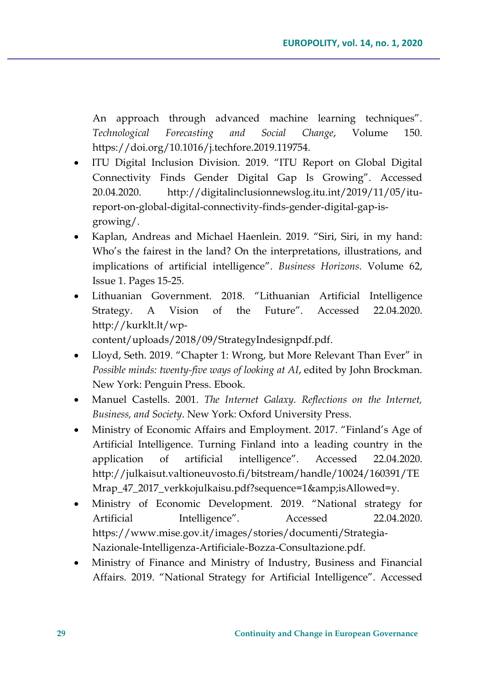An approach through advanced machine learning techniques". *Technological Forecasting and Social Change*, Volume 150. https://doi.org/10.1016/j.techfore.2019.119754.

- ITU Digital Inclusion Division. 2019. "ITU Report on Global Digital Connectivity Finds Gender Digital Gap Is Growing". Accessed 20.04.2020. [http://digitalinclusionnewslog.itu.int/2019/11/05/itu](http://digitalinclusionnewslog.itu.int/2019/11/05/itu-report-on-global-digital-connectivity-finds-gender-digital-gap-is-growing/)report-on-global-digital-[connectivity](http://digitalinclusionnewslog.itu.int/2019/11/05/itu-report-on-global-digital-connectivity-finds-gender-digital-gap-is-growing/)-finds-gender-digital-gap-is[growing/](http://digitalinclusionnewslog.itu.int/2019/11/05/itu-report-on-global-digital-connectivity-finds-gender-digital-gap-is-growing/).
- Kaplan, Andreas and Michael Haenlein. 2019. "Siri, Siri, in my hand: Who's the fairest in the land? On the interpretations, illustrations, and implications of artificial intelligence". *Business Horizons*. Volume 62, Issue 1. Pages 15-25.
- Lithuanian Government. 2018. "Lithuanian Artificial Intelligence Strategy. A Vision of the Future". Accessed 22.04.2020. [http://kurklt.lt/wp](http://kurklt.lt/wp-content/uploads/2018/09/StrategyIndesignpdf.pdf)-

[content/uploads/2018/09/StrategyIndesignpdf.pdf](http://kurklt.lt/wp-content/uploads/2018/09/StrategyIndesignpdf.pdf).

- Lloyd, Seth. 2019. "Chapter 1: Wrong, but More Relevant Than Ever" in *Possible minds: twenty-five ways of looking at AI*, edited by John Brockman. New York: Penguin Press. Ebook.
- Manuel Castells. 2001. *The Internet Galaxy. Reflections on the Internet, Business, and Society*. New York: Oxford University Press.
- Ministry of Economic Affairs and Employment. 2017. "Finland's Age of Artificial Intelligence. Turning Finland into a leading country in the application of artificial intelligence". Accessed 22.04.2020. [http://julkaisut.valtioneuvosto.fi/bitstream/handle/10024/160391/TE](http://julkaisut.valtioneuvosto.fi/bitstream/handle/10024/160391/TEMrap_47_2017_verkkojulkaisu.pdf?sequence=1&isAllowed=y) [Mrap\\_47\\_2017\\_verkkojulkaisu.pdf?sequence=1&isAllowed=y](http://julkaisut.valtioneuvosto.fi/bitstream/handle/10024/160391/TEMrap_47_2017_verkkojulkaisu.pdf?sequence=1&isAllowed=y).
- Ministry of Economic Development. 2019. "National strategy for Artificial Intelligence". Accessed 22.04.2020. [https://www.mise.gov.it/images/stories/documenti/Strategia](https://www.mise.gov.it/images/stories/documenti/Strategia-Nazionale-Intelligenza-Artificiale-Bozza-Consultazione.pdf)-Nazionale-Intelligenza-Artificiale-Bozza-[Consultazione.pdf](https://www.mise.gov.it/images/stories/documenti/Strategia-Nazionale-Intelligenza-Artificiale-Bozza-Consultazione.pdf).
- Ministry of Finance and Ministry of Industry, Business and Financial Affairs. 2019. "National Strategy for Artificial Intelligence". Accessed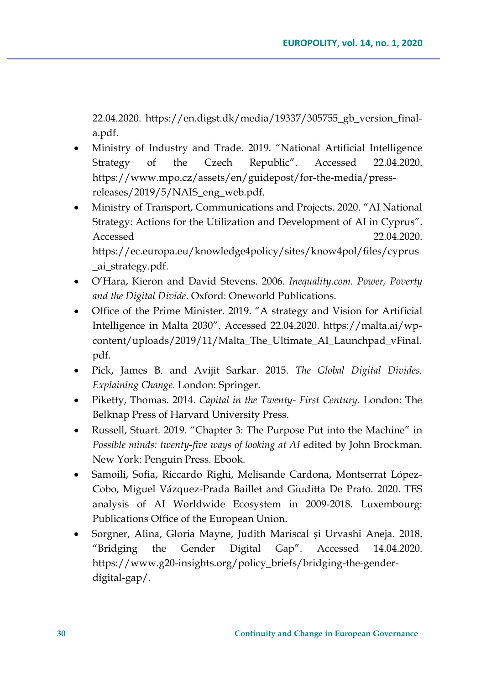22.04.2020. https://en.digst.dk/media/19337/305755\_gb\_version\_finala.pdf.

- Ministry of Industry and Trade. 2019. "National Artificial Intelligence Strategy of the Czech Republic". Accessed 22.04.2020. [https://www.mpo.cz/assets/en/guidepost/for](https://www.mpo.cz/assets/en/guidepost/for-the-media/press-releases/2019/5/NAIS_eng_web.pdf)-the-media/press[releases/2019/5/NAIS\\_eng\\_web.pdf](https://www.mpo.cz/assets/en/guidepost/for-the-media/press-releases/2019/5/NAIS_eng_web.pdf).
- Ministry of Transport, Communications and Projects. 2020. "AI National Strategy: Actions for the Utilization and Development of AI in Cyprus". Accessed 22.04.2020. [https://ec.europa.eu/knowledge4policy/sites/know4pol/files/cyprus](https://ec.europa.eu/knowledge4policy/sites/know4pol/files/cyprus_ai_strategy.pdf) [\\_ai\\_strategy.pdf](https://ec.europa.eu/knowledge4policy/sites/know4pol/files/cyprus_ai_strategy.pdf).
- O'Hara, Kieron and David Stevens. 2006. *Inequality.com. Power, Poverty and the Digital Divide*. Oxford: Oneworld Publications.
- Office of the Prime Minister. 2019. "A strategy and Vision for Artificial Intelligence in Malta 2030". Accessed 22.04.2020. [https://malta.ai/wp](https://malta.ai/wp-content/uploads/2019/11/Malta_The_Ultimate_AI_Launchpad_vFinal.pdf)[content/uploads/2019/11/Malta\\_The\\_Ultimate\\_AI\\_Launchpad\\_vFinal.](https://malta.ai/wp-content/uploads/2019/11/Malta_The_Ultimate_AI_Launchpad_vFinal.pdf) [pdf](https://malta.ai/wp-content/uploads/2019/11/Malta_The_Ultimate_AI_Launchpad_vFinal.pdf).
- Pick, James B. and Avijit Sarkar. 2015. *The Global Digital Divides. Explaining Change*. London: Springer.
- Piketty, Thomas. 2014. *Capital in the Twenty- First Century*. London: The Belknap Press of Harvard University Press.
- Russell, Stuart. 2019. "Chapter 3: The Purpose Put into the Machine" in *Possible minds: twenty-five ways of looking at AI* edited by John Brockman. New York: Penguin Press. Ebook.
- Samoili, Sofia, Riccardo Righi, Melisande Cardona, Montserrat López-Cobo, Miguel Vázquez-Prada Baillet and Giuditta De Prato. 2020. TES analysis of AI Worldwide Ecosystem in 2009-2018. Luxembourg: Publications Office of the European Union.
- Sorgner, Alina, Gloria Mayne, Judith Mariscal și Urvashi Aneja. 2018. "Bridging the Gender Digital Gap". Accessed 14.04.2020. https://www.g20-insights.org/policy\_briefs/bridging-the-genderdigital-gap/.